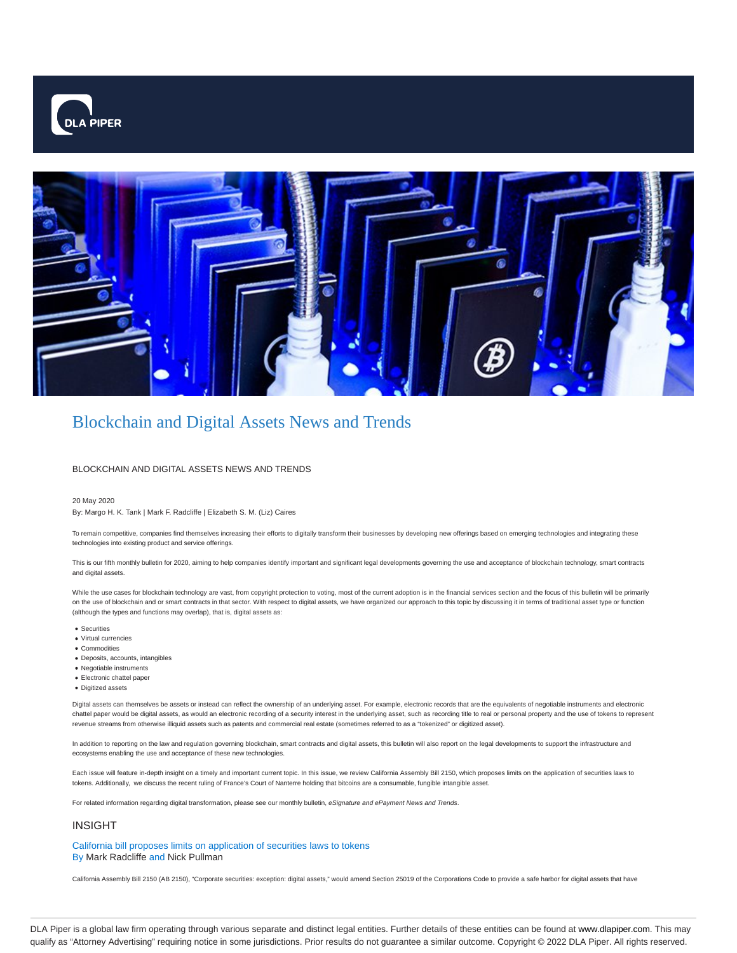



# Blockchain and Digital Assets News and Trends

# BLOCKCHAIN AND DIGITAL ASSETS NEWS AND TRENDS

## 20 May 2020

By: Margo H. K. Tank | Mark F. Radcliffe | Elizabeth S. M. (Liz) Caires

To remain competitive, companies find themselves increasing their efforts to digitally transform their businesses by developing new offerings based on emerging technologies and integrating these technologies into existing product and service offerings.

This is our fifth monthly bulletin for 2020, aiming to help companies identify important and significant legal developments governing the use and acceptance of blockchain technology, smart contracts and digital assets.

While the use cases for blockchain technology are vast, from copyright protection to voting, most of the current adoption is in the financial services section and the focus of this bulletin will be primarily on the use of blockchain and or smart contracts in that sector. With respect to digital assets, we have organized our approach to this topic by discussing it in terms of traditional asset type or function (although the types and functions may overlap), that is, digital assets as:

- Securities
- Virtual currencies
- Commodities
- Deposits, accounts, intangibles
- Negotiable instruments
- Electronic chattel paper
- Digitized assets

Digital assets can themselves be assets or instead can reflect the ownership of an underlying asset. For example, electronic records that are the equivalents of negotiable instruments and electronic chattel paper would be digital assets, as would an electronic recording of a security interest in the underlying asset, such as recording title to real or personal property and the use of tokens to represent revenue streams from otherwise illiquid assets such as patents and commercial real estate (sometimes referred to as a "tokenized" or digitized asset).

In addition to reporting on the law and regulation governing blockchain, smart contracts and digital assets, this bulletin will also report on the legal developments to support the infrastructure and ecosystems enabling the use and acceptance of these new technologies.

Each issue will feature in-depth insight on a timely and important current topic. In this issue, we review California Assembly Bill 2150, which proposes limits on the application of securities laws to tokens. Additionally, we discuss the recent ruling of France's Court of Nanterre holding that bitcoins are a consumable, fungible intangible asset.

For related information regarding digital transformation, please see our monthly bulletin, eSignature and ePayment News and Trends.

# INSIGHT

California bill proposes limits on application of securities laws to tokens By Mark Radcliffe and Nick Pullman

California Assembly Bill 2150 (AB 2150), "Corporate securities: exception: digital assets," would amend Section 25019 of the Corporations Code to provide a safe harbor for digital assets that have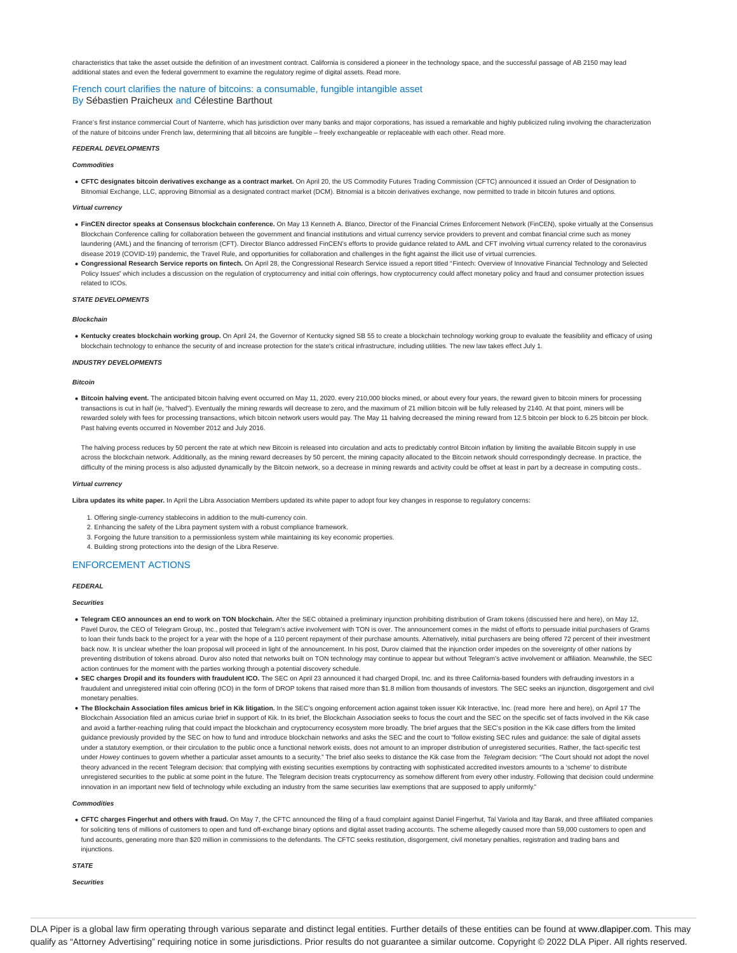characteristics that take the asset outside the definition of an investment contract. California is considered a pioneer in the technology space, and the successful passage of AB 2150 may lead additional states and even the federal government to examine the regulatory regime of digital assets. Read more.

# French court clarifies the nature of bitcoins: a consumable, fungible intangible asset By Sébastien Praicheux and Célestine Barthout

France's first instance commercial Court of Nanterre, which has jurisdiction over many banks and major corporations, has issued a remarkable and highly publicized ruling involving the characterization of the nature of bitcoins under French law, determining that all bitcoins are fungible – freely exchangeable or replaceable with each other. Read more.

#### **FEDERAL DEVELOPMENTS**

**Commodities**

**CFTC designates bitcoin derivatives exchange as a contract market.** On April 20, the US Commodity Futures Trading Commission (CFTC) announced it issued an Order of Designation to Bitnomial Exchange, LLC, approving Bitnomial as a designated contract market (DCM). Bitnomial is a bitcoin derivatives exchange, now permitted to trade in bitcoin futures and options.

## **Virtual currency**

- **FinCEN director speaks at Consensus blockchain conference.** On May 13 Kenneth A. Blanco, Director of the Financial Crimes Enforcement Network (FinCEN), spoke virtually at the Consensus Blockchain Conference calling for collaboration between the government and financial institutions and virtual currency service providers to prevent and combat financial crime such as money laundering (AML) and the financing of terrorism (CFT). Director Blanco addressed FinCEN's efforts to provide guidance related to AML and CFT involving virtual currency related to the coronavirus disease 2019 (COVID-19) pandemic, the Travel Rule, and opportunities for collaboration and challenges in the fight against the illicit use of virtual currencies
- . Congressional Research Service reports on fintech. On April 28, the Congressional Research Service issued a report titled "Fintech: Overview of Innovative Financial Technology and Selected Policy Issues" which includes a discussion on the regulation of cryptocurrency and initial coin offerings, how cryptocurrency could affect monetary policy and fraud and consumer protection issues related to ICOs.

# **STATE DEVELOPMENTS**

#### **Blockchain**

. Kentucky creates blockchain working group. On April 24, the Governor of Kentucky signed SB 55 to create a blockchain technology working group to evaluate the feasibility and efficacy of using blockchain technology to enhance the security of and increase protection for the state's critical infrastructure, including utilities. The new law takes effect July 1.

## **INDUSTRY DEVELOPMENTS**

## **Bitcoin**

**Bitcoin halving event.** The anticipated bitcoin halving event occurred on May 11, 2020. every 210,000 blocks mined, or about every four years, the reward given to bitcoin miners for processing transactions is cut in half (ie, "halved"). Eventually the mining rewards will decrease to zero, and the maximum of 21 million bitcoin will be fully released by 2140. At that point, miners will be rewarded solely with fees for processing transactions, which bitcoin network users would pay. The May 11 halving decreased the mining reward from 12.5 bitcoin per block to 6.25 bitcoin per block. Past halving events occurred in November 2012 and July 2016.

The halving process reduces by 50 percent the rate at which new Bitcoin is released into circulation and acts to predictably control Bitcoin inflation by limiting the available Bitcoin supply in use across the blockchain network. Additionally, as the mining reward decreases by 50 percent, the mining capacity allocated to the Bitcoin network should correspondingly decrease. In practice, the difficulty of the mining process is also adjusted dynamically by the Bitcoin network, so a decrease in mining rewards and activity could be offset at least in part by a decrease in computing costs..

#### **Virtual currency**

Libra updates its white paper. In April the Libra Association Members updated its white paper to adopt four key changes in response to regulatory concerns:

- 1. Offering single-currency stablecoins in addition to the multi-currency coin.
- 2. Enhancing the safety of the Libra payment system with a robust compliance framework.
- 3. Forgoing the future transition to a permissionless system while maintaining its key economic properties.
- 4. Building strong protections into the design of the Libra Reserve.

# ENFORCEMENT ACTIONS

## **FEDERAL**

#### **Securities**

- **Telegram CEO announces an end to work on TON blockchain.** After the SEC obtained a preliminary injunction prohibiting distribution of Gram tokens (discussed here and here), on May 12, Pavel Durov, the CEO of Telegram Group, Inc., posted that Telegram's active involvement with TON is over. The announcement comes in the midst of efforts to persuade initial purchasers of Grams to loan their funds back to the project for a year with the hope of a 110 percent repayment of their purchase amounts. Alternatively, initial purchasers are being offered 72 percent of their investment back now. It is unclear whether the loan proposal will proceed in light of the announcement. In his post, Durov claimed that the injunction order impedes on the sovereignty of other nations by preventing distribution of tokens abroad. Durov also noted that networks built on TON technology may continue to appear but without Telegram's active involvement or affiliation. Meanwhile, the SEC action continues for the moment with the parties working through a potential discovery schedule.
- SEC charges Dropil and its founders with fraudulent ICO. The SEC on April 23 announced it had charged Dropil, Inc. and its three California-based founders with defrauding investors in a fraudulent and unregistered initial coin offering (ICO) in the form of DROP tokens that raised more than \$1.8 million from thousands of investors. The SEC seeks an injunction, disgorgement and civil monetary penalties.
- . The Blockchain Association files amicus brief in Kik litigation. In the SEC's ongoing enforcement action against token issuer Kik Interactive, Inc. (read more here and here), on April 17 The Blockchain Association filed an amicus curiae brief in support of Kik. In its brief, the Blockchain Association seeks to focus the court and the SEC on the specific set of facts involved in the Kik case and avoid a farther-reaching ruling that could impact the blockchain and cryptocurrency ecosystem more broadly. The brief argues that the SEC's position in the Kik case differs from the limited guidance previously provided by the SEC on how to fund and introduce blockchain networks and asks the SEC and the court to "follow existing SEC rules and guidance: the sale of digital assets under a statutory exemption, or their circulation to the public once a functional network exists, does not amount to an improper distribution of unregistered securities. Rather, the fact-specific test under Howey continues to govern whether a particular asset amounts to a security." The brief also seeks to distance the Kik case from the Telegram decision: "The Court should not adopt the novel theory advanced in the recent Telegram decision: that complying with existing securities exemptions by contracting with sophisticated accredited investors amounts to a 'scheme' to distribute unregistered securities to the public at some point in the future. The Telegram decision treats cryptocurrency as somehow different from every other industry. Following that decision could undermine innovation in an important new field of technology while excluding an industry from the same securities law exemptions that are supposed to apply uniformly.

#### **Commodities**

. CFTC charges Fingerhut and others with fraud. On May 7, the CFTC announced the filing of a fraud complaint against Daniel Fingerhut, Tal Variola and Itay Barak, and three affiliated companies for soliciting tens of millions of customers to open and fund off-exchange binary options and digital asset trading accounts. The scheme allegedly caused more than 59,000 customers to open and fund accounts, generating more than \$20 million in commissions to the defendants. The CFTC seeks restitution, disgorgement, civil monetary penalties, registration and trading bans and injunctions.

#### **STATE**

**Securities**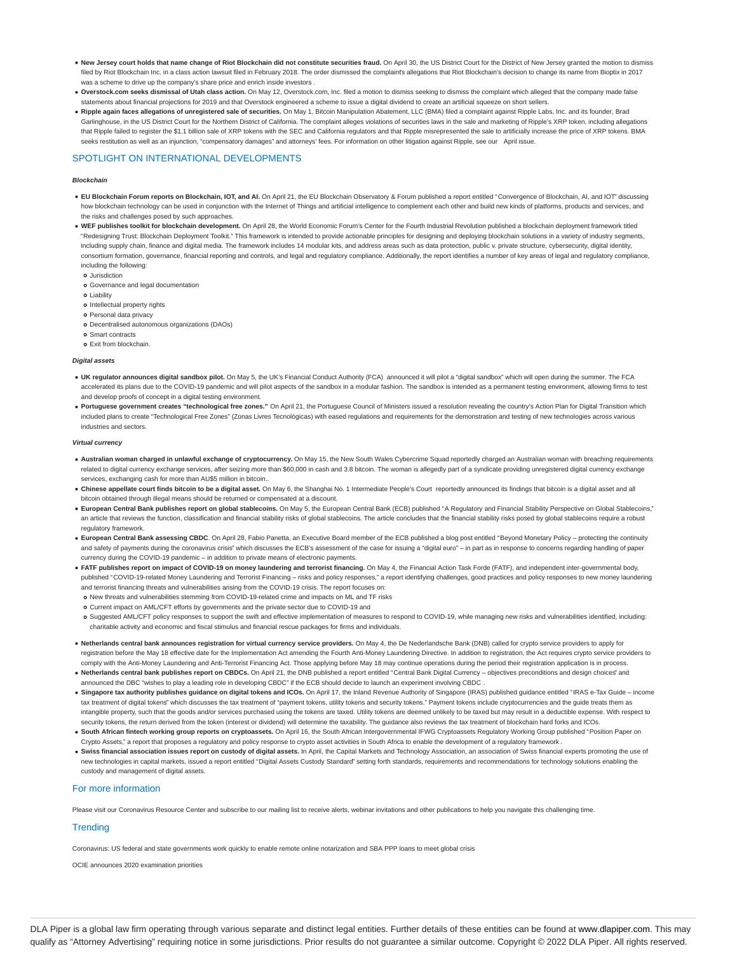- . New Jersey court holds that name change of Riot Blockchain did not constitute securities fraud. On April 30, the US District Court for the District of New Jersey granted the motion to dismiss filed by Riot Blockchain Inc. in a class action lawsuit filed in February 2018. The order dismissed the complaint's allegations that Riot Blockchain's decision to change its name from Bioptix in 2017 was a scheme to drive up the company's share price and enrich inside investors
- . Overstock.com seeks dismissal of Utah class action. On May 12, Overstock.com, Inc. filed a motion to dismiss seeking to dismiss the complaint which alleged that the company made false statements about financial projections for 2019 and that Overstock engineered a scheme to issue a digital dividend to create an artificial squeeze on short sellers.
- **Ripple again faces allegations of unregistered sale of securities.** On May 1, Bitcoin Manipulation Abatement, LLC (BMA) filed a complaint against Ripple Labs, Inc. and its founder, Brad Garlinghouse, in the US District Court for the Northern District of California. The complaint alleges violations of securities laws in the sale and marketing of Ripple's XRP token, including allegations that Ripple failed to register the \$1.1 billion sale of XRP tokens with the SEC and California regulators and that Ripple misrepresented the sale to artificially increase the price of XRP tokens. BMA seeks restitution as well as an injunction, "compensatory damages" and attorneys' fees. For information on other litigation against Ripple, see our April issue.

# SPOTLIGHT ON INTERNATIONAL DEVELOPMENTS

### **Blockchain**

- **EU Blockchain Forum reports on Blockchain, IOT, and AI.** On April 21, the EU Blockchain Observatory & Forum published a report entitled "Convergence of Blockchain, AI, and IOT" discussing how blockchain technology can be used in conjunction with the Internet of Things and artificial intelligence to complement each other and build new kinds of platforms, products and services, and the risks and challenges posed by such approaches.
- . WEF publishes toolkit for blockchain development. On April 28, the World Economic Forum's Center for the Fourth Industrial Revolution published a blockchain deployment framework titled "Redesigning Trust: Blockchain Deployment Toolkit." This framework is intended to provide actionable principles for designing and deploying blockchain solutions in a variety of industry segments, including supply chain, finance and digital media. The framework includes 14 modular kits, and address areas such as data protection, public v. private structure, cybersecurity, digital identity, consortium formation, governance, financial reporting and controls, and legal and regulatory compliance. Additionally, the report identifies a number of key areas of legal and regulatory compliance, including the following:
	- Jurisdiction
- Governance and legal documentation
- Liability
- o Intellectual property rights
- o Personal data privacy
- Decentralised autonomous organizations (DAOs)
- Smart contracts
- o Exit from blockchain.

#### **Digital assets**

- **UK regulator announces digital sandbox pilot.** On May 5, the UK's Financial Conduct Authority (FCA) announced it will pilot a "digital sandbox" which will open during the summer. The FCA accelerated its plans due to the COVID-19 pandemic and will pilot aspects of the sandbox in a modular fashion. The sandbox is intended as a permanent testing environment, allowing firms to test and develop proofs of concept in a digital testing environment.
- Portuguese government creates "technological free zones." On April 21, the Portuguese Council of Ministers issued a resolution revealing the country's Action Plan for Digital Transition which included plans to create "Technological Free Zones" (Zonas Livres Tecnológicas) with eased regulations and requirements for the demonstration and testing of new technologies across various industries and sectors.

# **Virtual currency**

- **Australian woman charged in unlawful exchange of cryptocurrency.** On May 15, the New South Wales Cybercrime Squad reportedly charged an Australian woman with breaching requirements related to digital currency exchange services, after seizing more than \$60,000 in cash and 3.8 bitcoin. The woman is allegedly part of a syndicate providing unregistered digital currency exchange services, exchanging cash for more than AU\$5 million in bitcoin.
- . Chinese appellate court finds bitcoin to be a digital asset. On May 6, the Shanghai No. 1 Intermediate People's Court reportedly announced its findings that bitcoin is a digital asset and all bitcoin obtained through illegal means should be returned or compensated at a discount.
- **European Central Bank publishes report on global stablecoins.** On May 5, the European Central Bank (ECB) published "A Regulatory and Financial Stability Perspective on Global Stablecoins," an article that reviews the function, classification and financial stability risks of global stablecoins. The article concludes that the financial stability risks posed by global stablecoins require a robust regulatory framework.
- **European Central Bank assessing CBDC**. On April 28, Fabio Panetta, an Executive Board member of the ECB published a blog post entitled "Beyond Monetary Policy protecting the continuity and safety of payments during the coronavirus crisis" which discusses the ECB's assessment of the case for issuing a "digital euro" – in part as in response to concerns regarding handling of paper currency during the COVID-19 pandemic – in addition to private means of electronic payments.
- . FATF publishes report on impact of COVID-19 on money laundering and terrorist financing. On May 4, the Financial Action Task Forde (FATF), and independent inter-governmental body, published "COVID-19-related Money Laundering and Terrorist Financing – risks and policy responses," a report identifying challenges, good practices and policy responses to new money laundering and terrorist financing threats and vulnerabilities arising from the COVID-19 crisis. The report focuses on:
- New threats and vulnerabilities stemming from COVID-19-related crime and impacts on ML and TF risks
- Current impact on AML/CFT efforts by governments and the private sector due to COVID-19 and
- o Suggested AML/CFT policy responses to support the swift and effective implementation of measures to respond to COVID-19, while managing new risks and vulnerabilities identified, including: charitable activity and economic and fiscal stimulus and financial rescue packages for firms and individuals.
- **Netherlands central bank announces registration for virtual currency service providers.** On May 4, the De Nederlandsche Bank (DNB) called for crypto service providers to apply for registration before the May 18 effective date for the Implementation Act amending the Fourth Anti-Money Laundering Directive. In addition to registration, the Act requires crypto service providers to comply with the Anti-Money Laundering and Anti-Terrorist Financing Act. Those applying before May 18 may continue operations during the period their registration application is in process.
- **Netherlands central bank publishes report on CBDCs.** On April 21, the DNB published a report entitled "Central Bank Digital Currency objectives preconditions and design choices" and announced the DBC "wishes to play a leading role in developing CBDC" if the ECB should decide to launch an experiment involving CBDC .
- **Singapore tax authority publishes guidance on digital tokens and ICOs.** On April 17, the Inland Revenue Authority of Singapore (IRAS) published guidance entitled "IRAS e-Tax Guide income tax treatment of digital tokens" which discusses the tax treatment of "payment tokens, utility tokens and security tokens." Payment tokens include cryptocurrencies and the guide treats them as intangible property, such that the goods and/or services purchased using the tokens are taxed. Utility tokens are deemed unlikely to be taxed but may result in a deductible expense. With respect to security tokens, the return derived from the token (interest or dividend) will determine the taxability. The guidance also reviews the tax treatment of blockchain hard forks and ICOs.
- **South African fintech working group reports on cryptoassets.** On April 16, the South African Intergovernmental IFWG Cryptoassets Regulatory Working Group published "Position Paper on Crypto Assets," a report that proposes a regulatory and policy response to crypto asset activities in South Africa to enable the development of a regulatory framework .
- . Swiss financial association issues report on custody of digital assets. In April, the Capital Markets and Technology Association, an association of Swiss financial experts promoting the use of new technologies in capital markets, issued a report entitled "Digital Assets Custody Standard" setting forth standards, requirements and recommendations for technology solutions enabling the custody and management of digital assets.

# For more information

Please visit our Coronavirus Resource Center and subscribe to our mailing list to receive alerts, webinar invitations and other publications to help you navigate this challenging time.

# **Trending**

Coronavirus: US federal and state governments work quickly to enable remote online notarization and SBA PPP loans to meet global crisis

OCIE announces 2020 examination priorities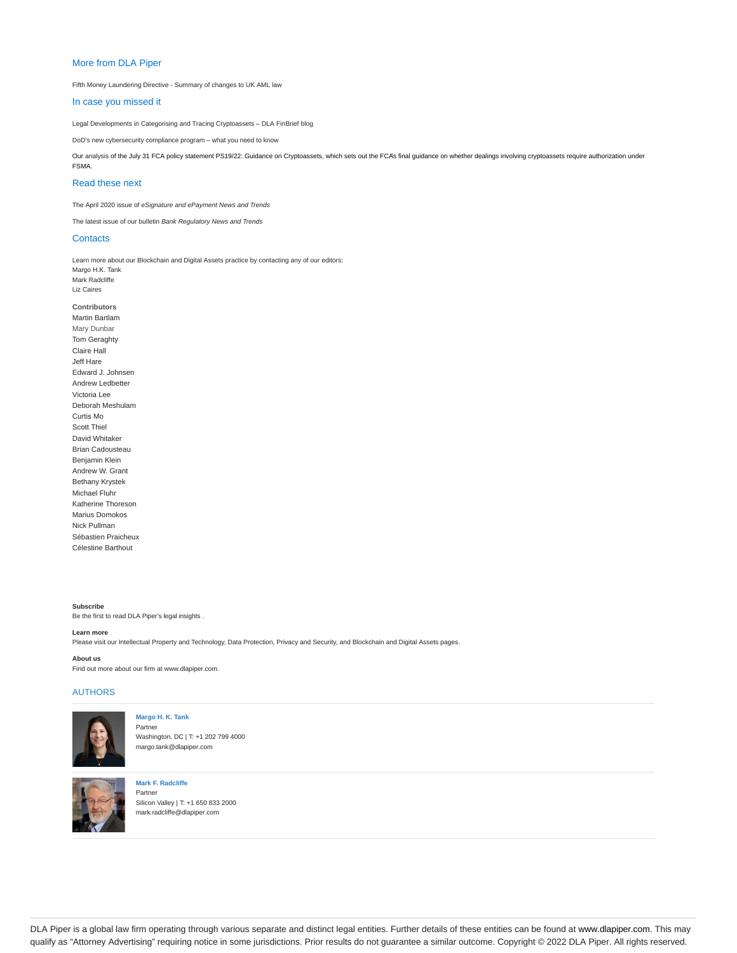# More from DLA Piper

Fifth Money Laundering Directive - Summary of changes to UK AML law

# In case you missed it

Legal Developments in Categorising and Tracing Cryptoassets – DLA FinBrief blog

DoD's new cybersecurity compliance program – what you need to know

Our analysis of the July 31 FCA policy statement PS19/22: Guidance on Cryptoassets, which sets out the FCA's final guidance on whether dealings involving cryptoassets require authorization under FSMA.

# Read these next

The April 2020 issue of eSignature and ePayment News and Trends

The latest issue of our bulletin Bank Regulatory News and Trends

# **Contacts**

Learn more about our Blockchain and Digital Assets practice by contacting any of our editors: Margo H.K. Tank Mark Radcliffe Liz Caires

#### **Contributors**

Martin Bartlam Mary Dunbar Tom Geraghty Claire Hall Jeff Hare Edward J. Johnsen Andrew Ledbetter Victoria Lee Deborah Meshulam Curtis Mo Scott Thiel David Whitaker Brian Cadousteau Benjamin Klein Andrew W. Grant Bethany Krystek Michael Fluhr Katherine Thoreson Marius Domokos Nick Pullman Sébastien Praicheux Célestine Barthout

**Subscribe** Be the first to read DLA Piper's legal insights .

## **Learn more**

Please visit our Intellectual Property and Technology, Data Protection, Privacy and Security, and Blockchain and Digital Assets pages.

# **About us**

Find out more about our firm at www.dlapiper.com.

# AUTHORS



## **Margo H. K. Tank** Partner

Washington, DC | T: +1 202 799 4000 margo.tank@dlapiper.com



**Mark F. Radcliffe** Partner Silicon Valley | T: +1 650 833 2000 mark.radcliffe@dlapiper.com